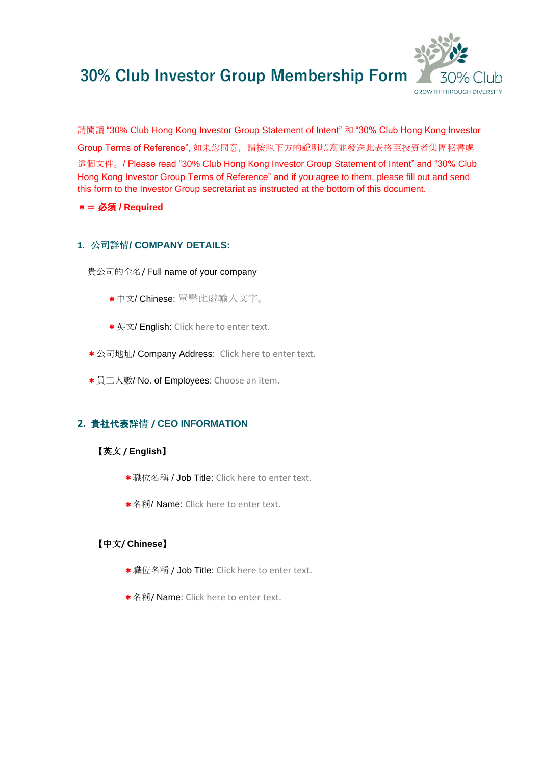## **30% Club Investor Group Membership Form**



請閱讀 "30% Club Hong Kong Investor Group Statement of Intent" 和 "30% Club Hong Kong Investor Group Terms of Reference", 如果您同意,請按照下方的說明填寫並發送此表格至投資者集團秘書處 這個文件。/ Please read "30% Club Hong Kong Investor Group Statement of Intent" and "30% Club Hong Kong Investor Group Terms of Reference" and if you agree to them, please fill out and send this form to the Investor Group secretariat as instructed at the bottom of this document.

\*= 必須 **/ Required**

#### **1.** 公司詳情**/ COMPANY DETAILS:**

貴公司的全名/ Full name of your company

- \*中文/ Chinese: 單擊此處輸入文字。
- \*英文/ English: Click here to enter text.
- \*公司地址/ Company Address: Click here to enter text.
- \*員工人數/ No. of Employees: Choose an item.

#### **2.** 貴社代表詳情 **/ CEO INFORMATION**

#### 【英文 **/ English**】

- \*職位名稱 / Job Title: Click here to enter text.
- \*名稱/ Name: Click here to enter text.

#### 【中文**/ Chinese**】

- \*職位名稱 / Job Title: Click here to enter text.
- \*名稱/ Name: Click here to enter text.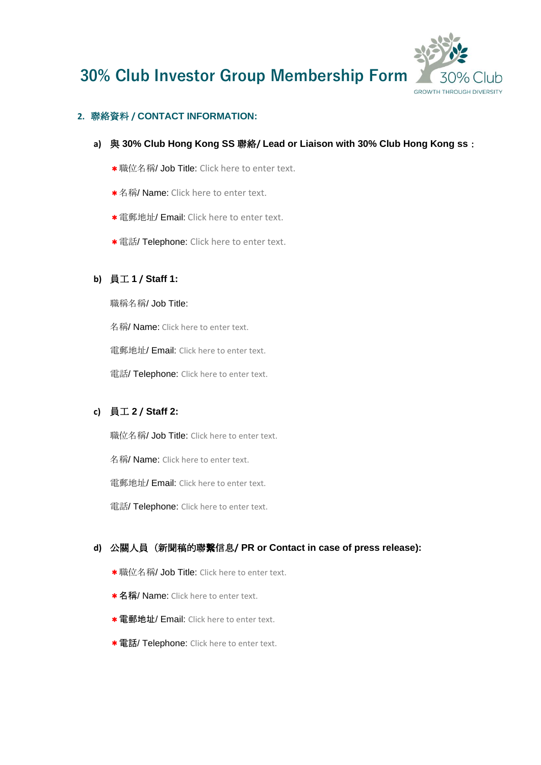

## **30% Club Investor Group Membership Form**

#### **2.** 聯絡資料 **/ CONTACT INFORMATION:**

#### **a)** 與 **30% Club Hong Kong SS** 聯絡**/ Lead or Liaison with 30% Club Hong Kong ss**:

- \*職位名稱/ Job Title: Click here to enter text.
- \*名稱/ Name: Click here to enter text.
- \*電郵地址/ Email: Click here to enter text.
- \*電話/ Telephone: Click here to enter text.

#### **b)** 員工 **1 / Staff 1:**

職稱名稱/ Job Title:

名稱/ Name: Click here to enter text.

電郵地址/ Email: Click here to enter text.

電話/ Telephone: Click here to enter text.

#### **c)** 員工 **2 / Staff 2:**

職位名稱/ Job Title: Click here to enter text.

名稱/ Name: Click here to enter text.

電郵地址/ Email: Click here to enter text.

電話/ Telephone: Click here to enter text.

#### **d)** 公關人員(新聞稿的聯繫信息**/ PR or Contact in case of press release):**

- \*職位名稱/ Job Title: Click here to enter text.
- \* 名稱/ Name: Click here to enter text.
- \*電郵地址/ Email: Click here to enter text.
- \*電話/ Telephone: Click here to enter text.